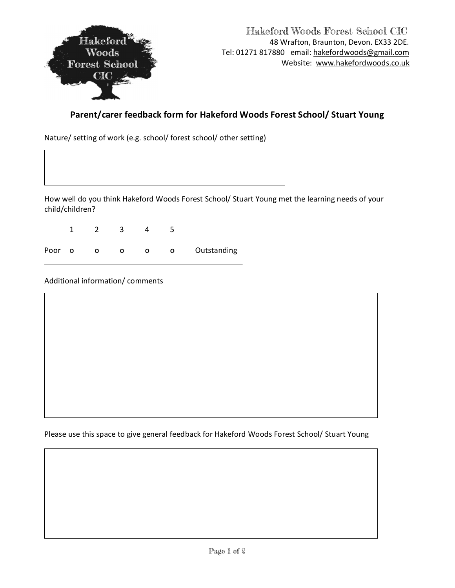

## **Parent/carer feedback form for Hakeford Woods Forest School/ Stuart Young**

Nature/ setting of work (e.g. school/ forest school/ other setting)

How well do you think Hakeford Woods Forest School/ Stuart Young met the learning needs of your child/children?

1 2 3 4 5 Poor o o o o Outstanding

Additional information/ comments

Please use this space to give general feedback for Hakeford Woods Forest School/ Stuart Young